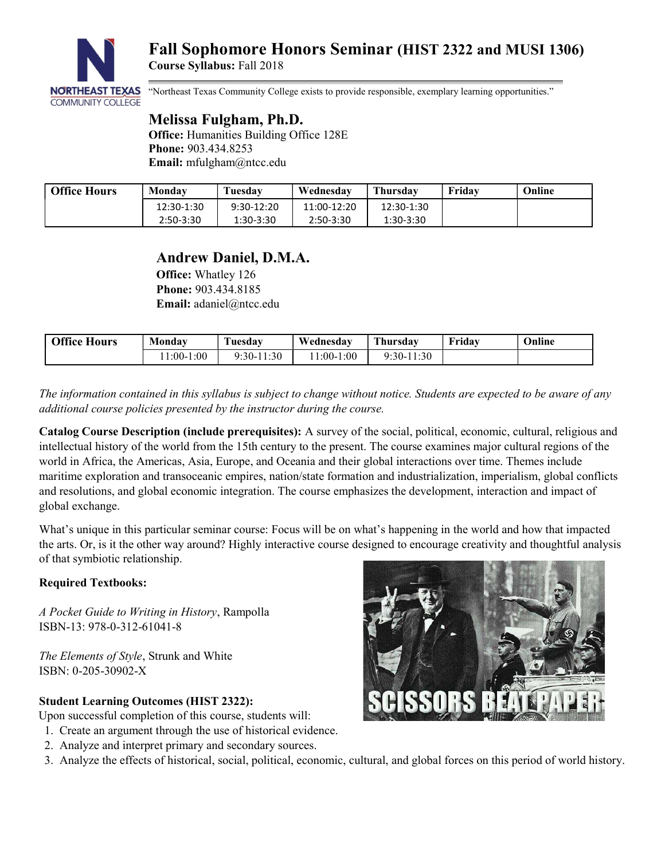

"Northeast Texas Community College exists to provide responsible, exemplary learning opportunities."

# Melissa Fulgham, Ph.D.

Office: Humanities Building Office 128E Phone: 903.434.8253 Email: mfulgham@ntcc.edu

| <b>Office Hours</b> | Monday     | Tuesdav      | Wednesdav   | <b>Thursday</b> | Fridav | Online |
|---------------------|------------|--------------|-------------|-----------------|--------|--------|
|                     | 12:30-1:30 | $9:30-12:20$ | 11:00-12:20 | 12:30-1:30      |        |        |
|                     | 2:50-3:30  | 1:30-3:30    | 2:50-3:30   | $1:30-3:30$     |        |        |

## Andrew Daniel, D.M.A.

Office: Whatley 126 Phone: 903.434.8185 Email: adaniel@ntcc.edu

| <b>Office Hours</b> | Mondav      | <b>CONTRACTOR</b><br>l' <b>uesdav</b> | Wednesdav           | Thursday     | ™ridav | Online |
|---------------------|-------------|---------------------------------------|---------------------|--------------|--------|--------|
|                     | $1:00-1:00$ | :30<br>$9:30-$                        | 1:00<br>$1:00^{-7}$ | $9:30-11:30$ |        |        |

The information contained in this syllabus is subject to change without notice. Students are expected to be aware of any additional course policies presented by the instructor during the course.

Catalog Course Description (include prerequisites): A survey of the social, political, economic, cultural, religious and intellectual history of the world from the 15th century to the present. The course examines major cultural regions of the world in Africa, the Americas, Asia, Europe, and Oceania and their global interactions over time. Themes include maritime exploration and transoceanic empires, nation/state formation and industrialization, imperialism, global conflicts and resolutions, and global economic integration. The course emphasizes the development, interaction and impact of global exchange.

What's unique in this particular seminar course: Focus will be on what's happening in the world and how that impacted the arts. Or, is it the other way around? Highly interactive course designed to encourage creativity and thoughtful analysis of that symbiotic relationship.

## Required Textbooks:

A Pocket Guide to Writing in History, Rampolla ISBN-13: 978-0-312-61041-8

The Elements of Style, Strunk and White ISBN: 0-205-30902-X

## Student Learning Outcomes (HIST 2322):

Upon successful completion of this course, students will:

- 1. Create an argument through the use of historical evidence.
- 2. Analyze and interpret primary and secondary sources.
- 3. Analyze the effects of historical, social, political, economic, cultural, and global forces on this period of world history.

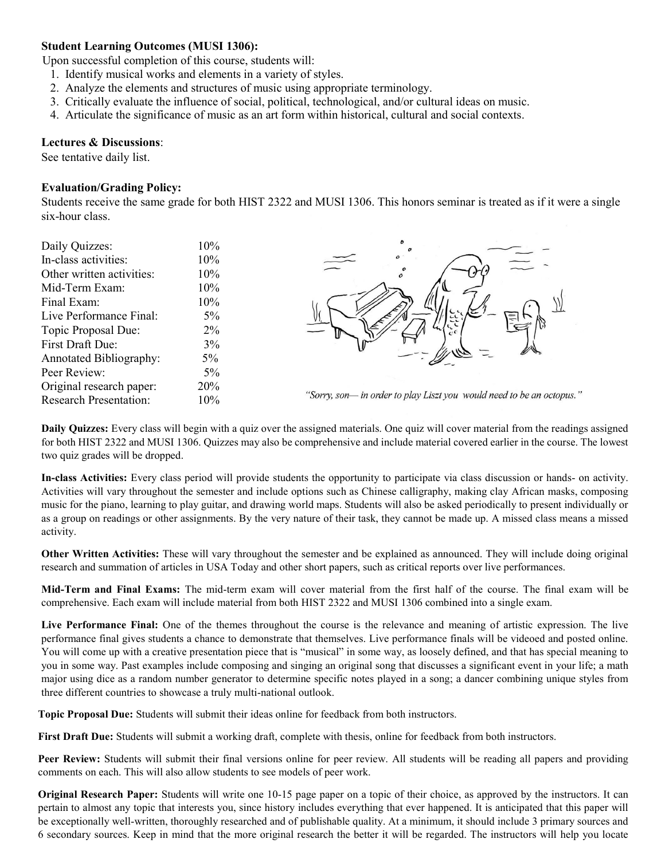### Student Learning Outcomes (MUSI 1306):

Upon successful completion of this course, students will:

- 1. Identify musical works and elements in a variety of styles.
- 2. Analyze the elements and structures of music using appropriate terminology.
- 3. Critically evaluate the influence of social, political, technological, and/or cultural ideas on music.
- 4. Articulate the significance of music as an art form within historical, cultural and social contexts.

#### Lectures & Discussions:

See tentative daily list.

#### Evaluation/Grading Policy:

Students receive the same grade for both HIST 2322 and MUSI 1306. This honors seminar is treated as if it were a single six-hour class.

| Daily Quizzes:                   | 10%    |                                                                      |  |  |  |
|----------------------------------|--------|----------------------------------------------------------------------|--|--|--|
| In-class activities:             | $10\%$ |                                                                      |  |  |  |
| Other written activities:        | $10\%$ |                                                                      |  |  |  |
| Mid-Term Exam:                   | 10%    |                                                                      |  |  |  |
| Final Exam:                      | 10%    |                                                                      |  |  |  |
| Live Performance Final:<br>$5\%$ |        |                                                                      |  |  |  |
| Topic Proposal Due:              | $2\%$  |                                                                      |  |  |  |
| First Draft Due:                 | 3%     |                                                                      |  |  |  |
| <b>Annotated Bibliography:</b>   | $5\%$  |                                                                      |  |  |  |
| Peer Review:                     | $5\%$  |                                                                      |  |  |  |
| Original research paper:<br>20%  |        |                                                                      |  |  |  |
| <b>Research Presentation:</b>    | 10%    | "Sorry, son- in order to play Liszt you would need to be an octopus. |  |  |  |

Daily Quizzes: Every class will begin with a quiz over the assigned materials. One quiz will cover material from the readings assigned for both HIST 2322 and MUSI 1306. Quizzes may also be comprehensive and include material covered earlier in the course. The lowest two quiz grades will be dropped.

,,

In-class Activities: Every class period will provide students the opportunity to participate via class discussion or hands- on activity. Activities will vary throughout the semester and include options such as Chinese calligraphy, making clay African masks, composing music for the piano, learning to play guitar, and drawing world maps. Students will also be asked periodically to present individually or as a group on readings or other assignments. By the very nature of their task, they cannot be made up. A missed class means a missed activity.

Other Written Activities: These will vary throughout the semester and be explained as announced. They will include doing original research and summation of articles in USA Today and other short papers, such as critical reports over live performances.

Mid-Term and Final Exams: The mid-term exam will cover material from the first half of the course. The final exam will be comprehensive. Each exam will include material from both HIST 2322 and MUSI 1306 combined into a single exam.

Live Performance Final: One of the themes throughout the course is the relevance and meaning of artistic expression. The live performance final gives students a chance to demonstrate that themselves. Live performance finals will be videoed and posted online. You will come up with a creative presentation piece that is "musical" in some way, as loosely defined, and that has special meaning to you in some way. Past examples include composing and singing an original song that discusses a significant event in your life; a math major using dice as a random number generator to determine specific notes played in a song; a dancer combining unique styles from three different countries to showcase a truly multi-national outlook.

Topic Proposal Due: Students will submit their ideas online for feedback from both instructors.

First Draft Due: Students will submit a working draft, complete with thesis, online for feedback from both instructors.

Peer Review: Students will submit their final versions online for peer review. All students will be reading all papers and providing comments on each. This will also allow students to see models of peer work.

Original Research Paper: Students will write one 10-15 page paper on a topic of their choice, as approved by the instructors. It can pertain to almost any topic that interests you, since history includes everything that ever happened. It is anticipated that this paper will be exceptionally well-written, thoroughly researched and of publishable quality. At a minimum, it should include 3 primary sources and 6 secondary sources. Keep in mind that the more original research the better it will be regarded. The instructors will help you locate